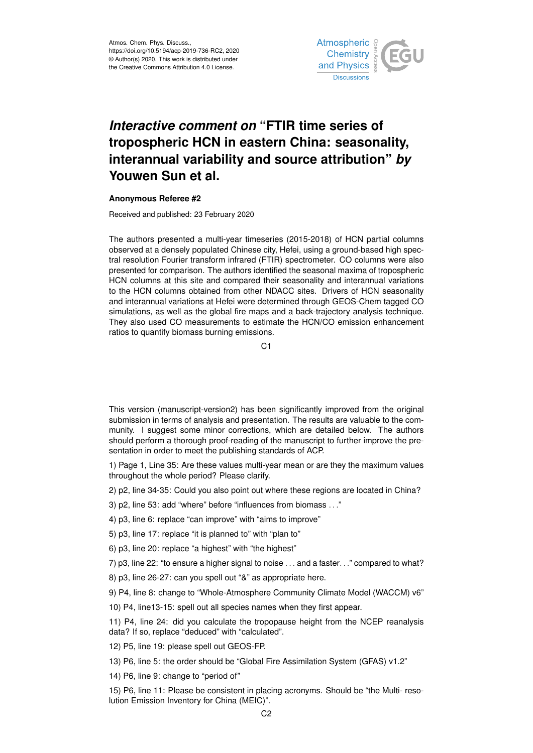

## *Interactive comment on* **"FTIR time series of tropospheric HCN in eastern China: seasonality, interannual variability and source attribution"** *by* **Youwen Sun et al.**

## **Anonymous Referee #2**

Received and published: 23 February 2020

The authors presented a multi-year timeseries (2015-2018) of HCN partial columns observed at a densely populated Chinese city, Hefei, using a ground-based high spectral resolution Fourier transform infrared (FTIR) spectrometer. CO columns were also presented for comparison. The authors identified the seasonal maxima of tropospheric HCN columns at this site and compared their seasonality and interannual variations to the HCN columns obtained from other NDACC sites. Drivers of HCN seasonality and interannual variations at Hefei were determined through GEOS-Chem tagged CO simulations, as well as the global fire maps and a back-trajectory analysis technique. They also used CO measurements to estimate the HCN/CO emission enhancement ratios to quantify biomass burning emissions.

 $C<sub>1</sub>$ 

This version (manuscript-version2) has been significantly improved from the original submission in terms of analysis and presentation. The results are valuable to the community. I suggest some minor corrections, which are detailed below. The authors should perform a thorough proof-reading of the manuscript to further improve the presentation in order to meet the publishing standards of ACP.

1) Page 1, Line 35: Are these values multi-year mean or are they the maximum values throughout the whole period? Please clarify.

2) p2, line 34-35: Could you also point out where these regions are located in China?

3) p2, line 53: add "where" before "influences from biomass . . ."

4) p3, line 6: replace "can improve" with "aims to improve"

5) p3, line 17: replace "it is planned to" with "plan to"

6) p3, line 20: replace "a highest" with "the highest"

7) p3, line 22: "to ensure a higher signal to noise . . . and a faster. . ." compared to what?

8) p3, line 26-27: can you spell out "&" as appropriate here.

9) P4, line 8: change to "Whole-Atmosphere Community Climate Model (WACCM) v6"

10) P4, line13-15: spell out all species names when they first appear.

11) P4, line 24: did you calculate the tropopause height from the NCEP reanalysis data? If so, replace "deduced" with "calculated".

12) P5, line 19: please spell out GEOS-FP.

13) P6, line 5: the order should be "Global Fire Assimilation System (GFAS) v1.2"

14) P6, line 9: change to "period of"

15) P6, line 11: Please be consistent in placing acronyms. Should be "the Multi- resolution Emission Inventory for China (MEIC)".